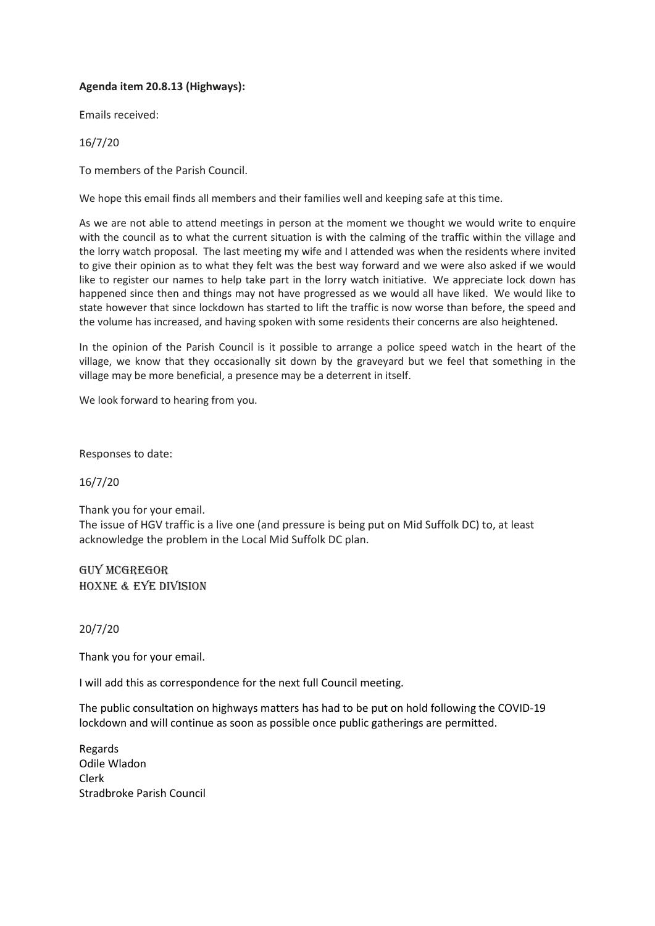## **Agenda item 20.8.13 (Highways):**

Emails received:

16/7/20

To members of the Parish Council.

We hope this email finds all members and their families well and keeping safe at this time.

As we are not able to attend meetings in person at the moment we thought we would write to enquire with the council as to what the current situation is with the calming of the traffic within the village and the lorry watch proposal. The last meeting my wife and I attended was when the residents where invited to give their opinion as to what they felt was the best way forward and we were also asked if we would like to register our names to help take part in the lorry watch initiative. We appreciate lock down has happened since then and things may not have progressed as we would all have liked. We would like to state however that since lockdown has started to lift the traffic is now worse than before, the speed and the volume has increased, and having spoken with some residents their concerns are also heightened.

In the opinion of the Parish Council is it possible to arrange a police speed watch in the heart of the village, we know that they occasionally sit down by the graveyard but we feel that something in the village may be more beneficial, a presence may be a deterrent in itself.

We look forward to hearing from you.

Responses to date:

16/7/20

Thank you for your email. The issue of HGV traffic is a live one (and pressure is being put on Mid Suffolk DC) to, at least acknowledge the problem in the Local Mid Suffolk DC plan.

Guy McGregor Hoxne & Eye Division

20/7/20

Thank you for your email.

I will add this as correspondence for the next full Council meeting.

The public consultation on highways matters has had to be put on hold following the COVID-19 lockdown and will continue as soon as possible once public gatherings are permitted.

Regards Odile Wladon Clerk Stradbroke Parish Council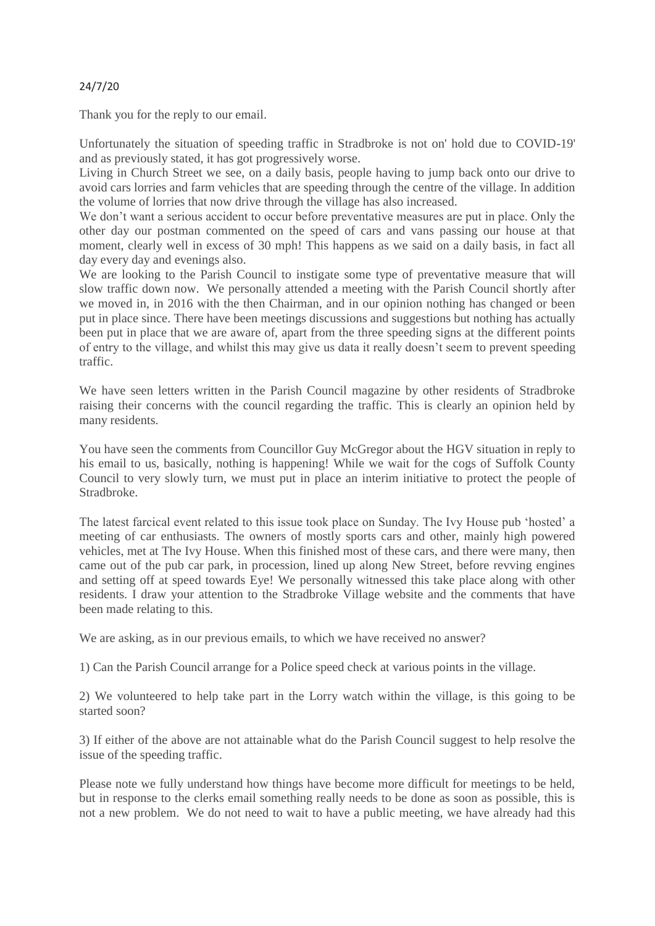## 24/7/20

Thank you for the reply to our email.

Unfortunately the situation of speeding traffic in Stradbroke is not on' hold due to COVID-19' and as previously stated, it has got progressively worse.

Living in Church Street we see, on a daily basis, people having to jump back onto our drive to avoid cars lorries and farm vehicles that are speeding through the centre of the village. In addition the volume of lorries that now drive through the village has also increased.

We don't want a serious accident to occur before preventative measures are put in place. Only the other day our postman commented on the speed of cars and vans passing our house at that moment, clearly well in excess of 30 mph! This happens as we said on a daily basis, in fact all day every day and evenings also.

We are looking to the Parish Council to instigate some type of preventative measure that will slow traffic down now. We personally attended a meeting with the Parish Council shortly after we moved in, in 2016 with the then Chairman, and in our opinion nothing has changed or been put in place since. There have been meetings discussions and suggestions but nothing has actually been put in place that we are aware of, apart from the three speeding signs at the different points of entry to the village, and whilst this may give us data it really doesn't seem to prevent speeding traffic.

We have seen letters written in the Parish Council magazine by other residents of Stradbroke raising their concerns with the council regarding the traffic. This is clearly an opinion held by many residents.

You have seen the comments from Councillor Guy McGregor about the HGV situation in reply to his email to us, basically, nothing is happening! While we wait for the cogs of Suffolk County Council to very slowly turn, we must put in place an interim initiative to protect the people of Stradbroke.

The latest farcical event related to this issue took place on Sunday. The Ivy House pub 'hosted' a meeting of car enthusiasts. The owners of mostly sports cars and other, mainly high powered vehicles, met at The Ivy House. When this finished most of these cars, and there were many, then came out of the pub car park, in procession, lined up along New Street, before revving engines and setting off at speed towards Eye! We personally witnessed this take place along with other residents. I draw your attention to the Stradbroke Village website and the comments that have been made relating to this.

We are asking, as in our previous emails, to which we have received no answer?

1) Can the Parish Council arrange for a Police speed check at various points in the village.

2) We volunteered to help take part in the Lorry watch within the village, is this going to be started soon?

3) If either of the above are not attainable what do the Parish Council suggest to help resolve the issue of the speeding traffic.

Please note we fully understand how things have become more difficult for meetings to be held, but in response to the clerks email something really needs to be done as soon as possible, this is not a new problem. We do not need to wait to have a public meeting, we have already had this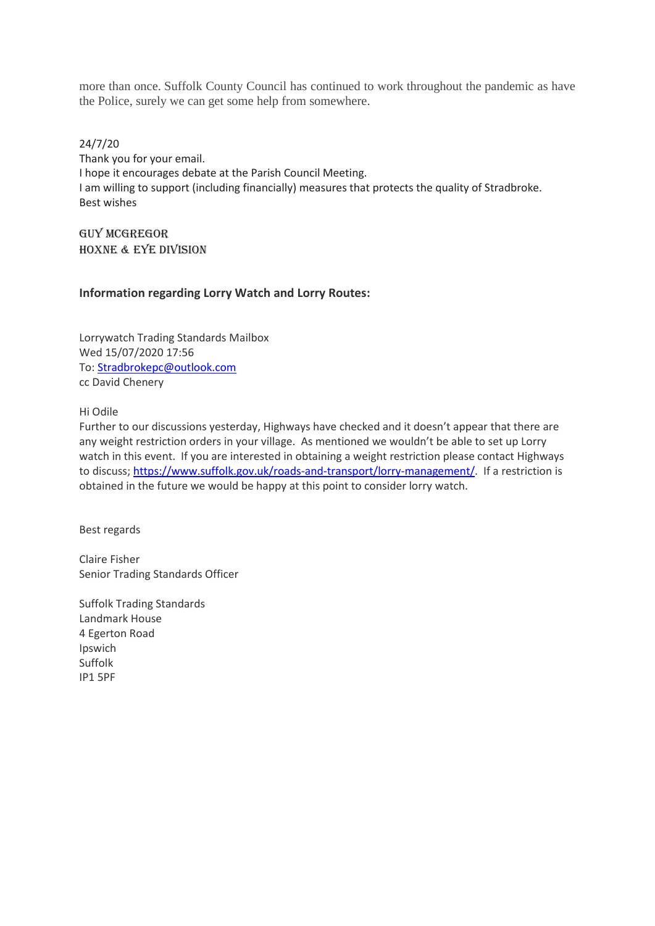more than once. Suffolk County Council has continued to work throughout the pandemic as have the Police, surely we can get some help from somewhere.

24/7/20 Thank you for your email. I hope it encourages debate at the Parish Council Meeting. I am willing to support (including financially) measures that protects the quality of Stradbroke. Best wishes

Guy McGregor Hoxne & Eye Division

## **Information regarding Lorry Watch and Lorry Routes:**

Lorrywatch Trading Standards Mailbox Wed 15/07/2020 17:56 To[: Stradbrokepc@outlook.com](mailto:Stradbrokepc@outlook.com) cc David Chenery

Hi Odile

Further to our discussions yesterday, Highways have checked and it doesn't appear that there are any weight restriction orders in your village. As mentioned we wouldn't be able to set up Lorry watch in this event. If you are interested in obtaining a weight restriction please contact Highways to discuss; [https://www.suffolk.gov.uk/roads-and-transport/lorry-management/.](https://www.suffolk.gov.uk/roads-and-transport/lorry-management/) If a restriction is obtained in the future we would be happy at this point to consider lorry watch.

Best regards

Claire Fisher Senior Trading Standards Officer

Suffolk Trading Standards Landmark House 4 Egerton Road Ipswich Suffolk IP1 5PF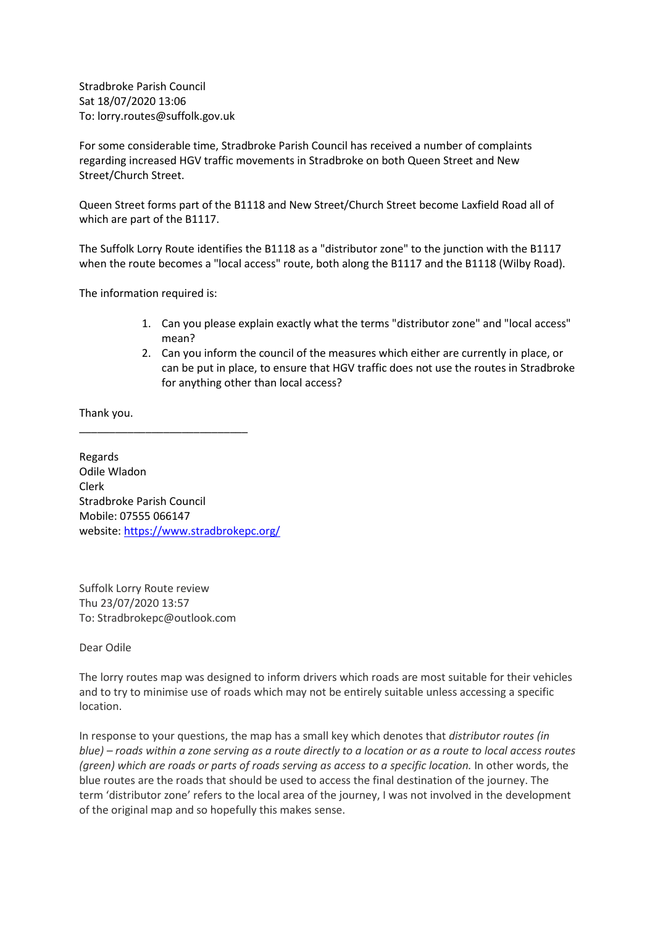Stradbroke Parish Council Sat 18/07/2020 13:06 To: lorry.routes@suffolk.gov.uk

For some considerable time, Stradbroke Parish Council has received a number of complaints regarding increased HGV traffic movements in Stradbroke on both Queen Street and New Street/Church Street.

Queen Street forms part of the B1118 and New Street/Church Street become Laxfield Road all of which are part of the B1117.

The Suffolk Lorry Route identifies the B1118 as a "distributor zone" to the junction with the B1117 when the route becomes a "local access" route, both along the B1117 and the B1118 (Wilby Road).

The information required is:

- 1. Can you please explain exactly what the terms "distributor zone" and "local access" mean?
- 2. Can you inform the council of the measures which either are currently in place, or can be put in place, to ensure that HGV traffic does not use the routes in Stradbroke for anything other than local access?

Thank you.

Regards Odile Wladon Clerk Stradbroke Parish Council Mobile: 07555 066147 website: <https://www.stradbrokepc.org/>

\_\_\_\_\_\_\_\_\_\_\_\_\_\_\_\_\_\_\_\_\_\_\_\_\_\_\_\_

Suffolk Lorry Route review Thu 23/07/2020 13:57 To: Stradbrokepc@outlook.com

Dear Odile

The lorry routes map was designed to inform drivers which roads are most suitable for their vehicles and to try to minimise use of roads which may not be entirely suitable unless accessing a specific location.

In response to your questions, the map has a small key which denotes that *distributor routes (in blue) – roads within a zone serving as a route directly to a location or as a route to local access routes (green) which are roads or parts of roads serving as access to a specific location.* In other words, the blue routes are the roads that should be used to access the final destination of the journey. The term 'distributor zone' refers to the local area of the journey, I was not involved in the development of the original map and so hopefully this makes sense.